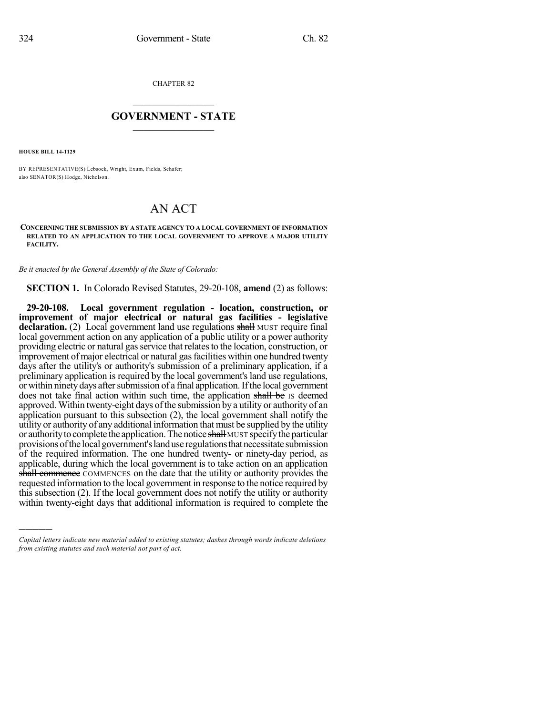CHAPTER 82

## $\overline{\phantom{a}}$  . The set of the set of the set of the set of the set of the set of the set of the set of the set of the set of the set of the set of the set of the set of the set of the set of the set of the set of the set o **GOVERNMENT - STATE**  $\_$

**HOUSE BILL 14-1129**

)))))

BY REPRESENTATIVE(S) Lebsock, Wright, Exum, Fields, Schafer; also SENATOR(S) Hodge, Nicholson.

## AN ACT

**CONCERNING THE SUBMISSION BY A STATE AGENCY TO A LOCAL GOVERNMENT OF INFORMATION RELATED TO AN APPLICATION TO THE LOCAL GOVERNMENT TO APPROVE A MAJOR UTILITY FACILITY.**

*Be it enacted by the General Assembly of the State of Colorado:*

**SECTION 1.** In Colorado Revised Statutes, 29-20-108, **amend** (2) as follows:

**29-20-108. Local government regulation - location, construction, or improvement of major electrical or natural gas facilities - legislative declaration.** (2) Local government land use regulations shall MUST require final local government action on any application of a public utility or a power authority providing electric or natural gas service that relates to the location, construction, or improvement of major electrical or natural gas facilities within one hundred twenty days after the utility's or authority's submission of a preliminary application, if a preliminary application is required by the local government's land use regulations, or within ninety days after submission of a final application. If the local government does not take final action within such time, the application shall be IS deemed approved. Within twenty-eight days of the submission by a utility or authority of an application pursuant to this subsection (2), the local government shall notify the utility or authority of any additional information that must be supplied by the utility or authority to complete the application. The notice shall MUST specify the particular provisions of the local government's land use regulations that necessitate submission of the required information. The one hundred twenty- or ninety-day period, as applicable, during which the local government is to take action on an application shall commence COMMENCES on the date that the utility or authority provides the requested information to the local government in response to the notice required by this subsection (2). If the local government does not notify the utility or authority within twenty-eight days that additional information is required to complete the

*Capital letters indicate new material added to existing statutes; dashes through words indicate deletions from existing statutes and such material not part of act.*